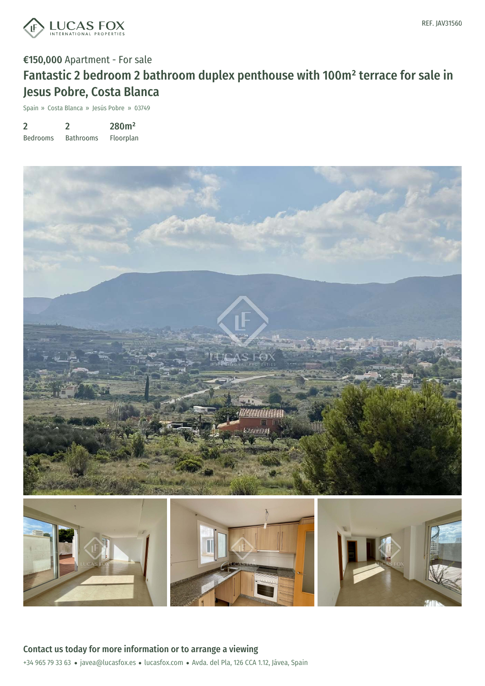

## €150,000 Apartment - For sale Fantastic 2 bedroom 2 bathroom duplex penthouse with 100m² terrace for sale in

Spain » Costa Blanca » Jesús Pobre » 03749

Jesus Pobre, Costa Blanca

| 2               |                  | 280m <sup>2</sup> |
|-----------------|------------------|-------------------|
| <b>Bedrooms</b> | <b>Bathrooms</b> | Floorplan         |



+34 965 79 33 63 · javea@lucasfox.es · lucasfox.com · Avda. del Pla, 126 CCA 1.12, Jávea, Spain Contact us today for more information or to arrange a viewing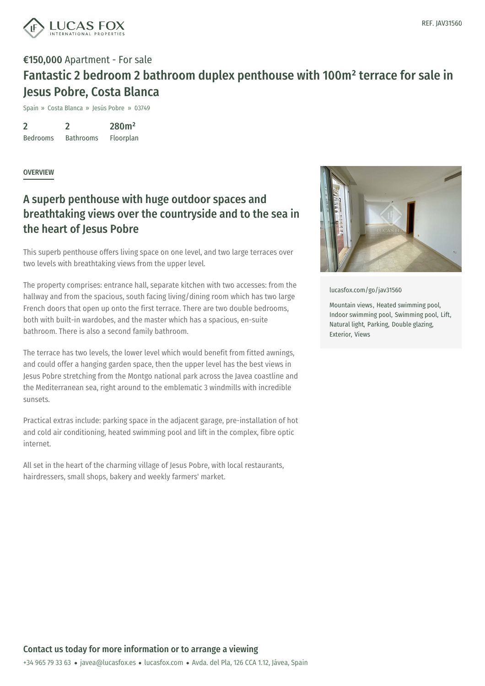

## €150,000 Apartment - For sale Fantastic 2 bedroom 2 bathroom duplex penthouse with 100m² terrace for sale in Jesus Pobre, Costa Blanca

Spain » Costa Blanca » Jesús Pobre » 03749

 $\overline{\mathbf{z}}$ Bedrooms  $\mathfrak{D}$ Bathrooms 280m² Floorplan

**OVERVIEW** 

## A superb penthouse with huge outdoor spaces and breathtaking views over the countryside and to the sea in the heart of Jesus Pobre

This superb penthouse offers living space on one level, and two large terraces over two levels with breathtaking views from the upper level.

The property comprises: entrance hall, separate kitchen with two accesses: from the hallway and from the spacious, south facing living/dining room which has two large French doors that open up onto the first terrace. There are two double bedrooms, both with built-in wardobes, and the master which has a spacious, en-suite bathroom. There is also a second family bathroom.

The terrace has two levels, the lower level which would benefit from fitted awnings, and could offer a hanging garden space, then the upper level has the best views in Jesus Pobre stretching from the Montgo national park across the Javea coastline and the Mediterranean sea, right around to the emblematic 3 windmills with incredible sunsets.

Practical extras include: parking space in the adjacent garage, pre-installation of hot and cold air conditioning, heated swimming pool and lift in the complex, fibre optic internet.

All set in the heart of the charming village of Jesus Pobre, with local restaurants, hairdressers, small shops, bakery and weekly farmers' market.



[lucasfox.com/go/jav31560](https://www.lucasfox.com/go/jav31560)

Mountain views, Heated swimming pool, Indoor swimming pool, Swimming pool, Lift, Natural light, Parking, Double glazing, Exterior, Views